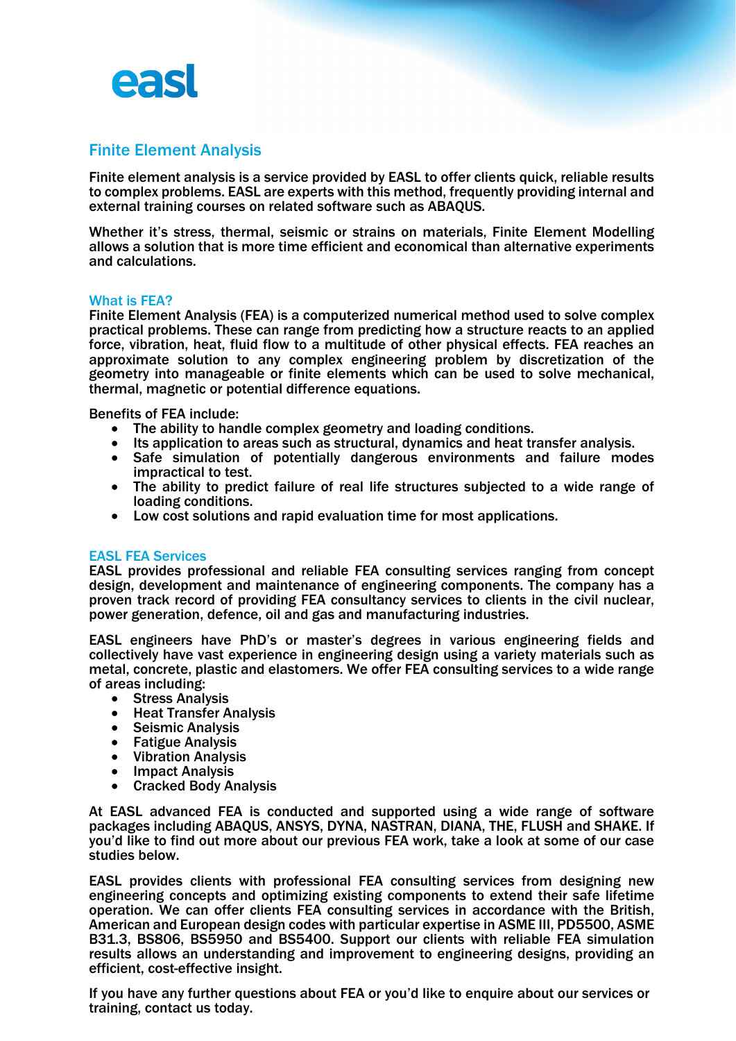

## Finite Element Analysis

Finite element analysis is a service provided by EASL to offer clients quick, reliable results to complex problems. EASL are experts with this method, frequently providing internal and external training courses on related software such as ABAQUS.

Whether it's stress, thermal, seismic or strains on materials, Finite Element Modelling allows a solution that is more time efficient and economical than alternative experiments and calculations.

## What is FEA?

Finite Element Analysis (FEA) is a computerized numerical method used to solve complex practical problems. These can range from predicting how a structure reacts to an applied force, vibration, heat, fluid flow to a multitude of other physical effects. FEA reaches an approximate solution to any complex engineering problem by discretization of the geometry into manageable or finite elements which can be used to solve mechanical, thermal, magnetic or potential difference equations.

- 
- 
- Benefits of FEA include:<br>
The ability to handle complex geometry and loading conditions.<br>
Its application to areas such as structural, dynamics and heat transfer analysis.<br>
Safe simulation of potentially dangerous en
	- The ability to predict failure of real life structures subjected to a wide range of loading conditions.
	- Low cost solutions and rapid evaluation time for most applications.

## EASL FEA Services

EASL provides professional and reliable FEA consulting services ranging from concept design, development and maintenance of engineering components. The company has a proven track record of providing FEA consultancy services to clients in the civil nuclear, power generation, defence, oil and gas and manufacturing industries.

EASL engineers have PhD's or master's degrees in various engineering fields and collectively have vast experience in engineering design using a variety materials such as metal, concrete, plastic and elastomers. We offer FEA consulting services to a wide range

- 
- 
- 
- 
- 
- 
- of areas including:<br>
Stress Analysis<br>
Heat Transfer Analysis<br>
Seismic Analysis<br>
Fatigue Analysis<br>
Vibration Analysis<br>
Impact Analysis<br>
Cracked Body Analysis

At EASL advanced FEA is conducted and supported using a wide range of software packages including ABAQUS, ANSYS, DYNA, NASTRAN, DIANA, THE, FLUSH and SHAKE. If you'd like to find out more about our previous FEA work, take a look at some of our case studies below.

EASL provides clients with professional FEA consulting services from designing new engineering concepts and optimizing existing components to extend their safe lifetime operation. We can offer clients FEA consulting services in accordance with the British, American and European design codes with particular expertise in ASME III, PD5500, ASME B31.3, BS806, BS5950 and BS5400. Support our clients with reliable FEA simulation results allows an understanding and improvement to engineering designs, providing an efficient, cost-effective insight.

If you have any further questions about FEA or you'd like to enquire about our services or training, contact us today.